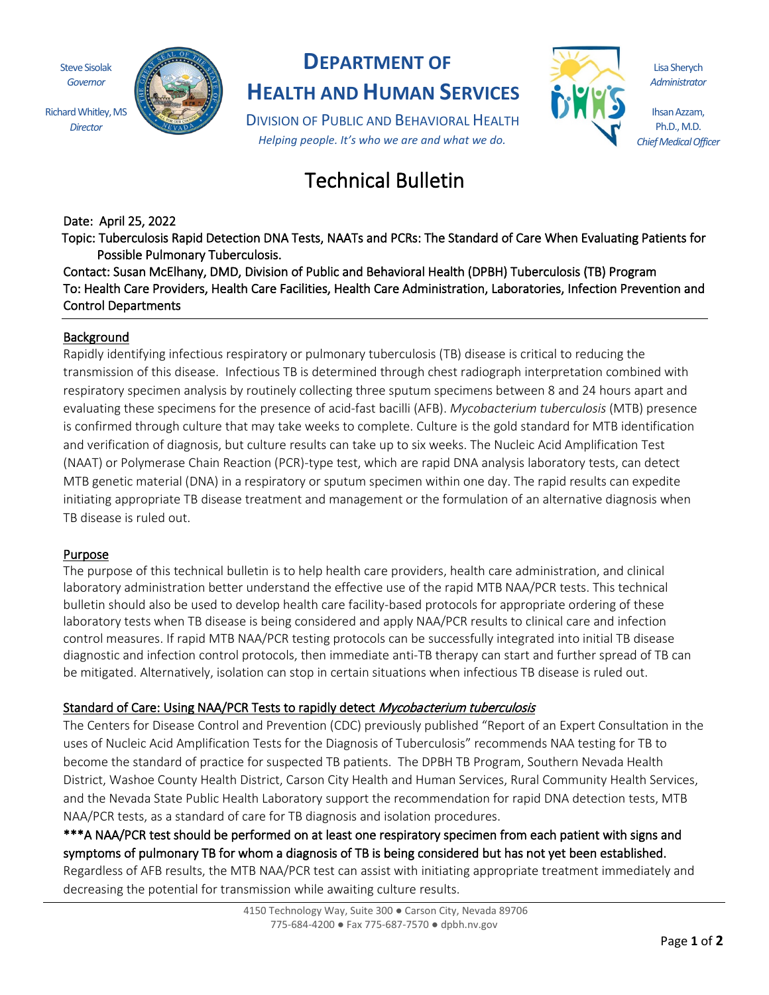Steve Sisolak *Governor*

*Director*



### **DEPARTMENT OF**

**HEALTH AND HUMAN SERVICES**

DIVISION OF PUBLIC AND BEHAVIORAL HEALTH *Helping people. It's who we are and what we do.*

Lisa Sherych *Administrator*

Ihsan Azzam, Ph.D., M.D. *Chief Medical Officer*

# Technical Bulletin

Date: April 25, 2022

Topic: Tuberculosis Rapid Detection DNA Tests, NAATs and PCRs: The Standard of Care When Evaluating Patients for Possible Pulmonary Tuberculosis.

Contact: Susan McElhany, DMD, Division of Public and Behavioral Health (DPBH) Tuberculosis (TB) Program To: Health Care Providers, Health Care Facilities, Health Care Administration, Laboratories, Infection Prevention and Control Departments

#### Background

Rapidly identifying infectious respiratory or pulmonary tuberculosis (TB) disease is critical to reducing the transmission of this disease. Infectious TB is determined through chest radiograph interpretation combined with respiratory specimen analysis by routinely collecting three sputum specimens between 8 and 24 hours apart and evaluating these specimens for the presence of acid-fast bacilli (AFB). *Mycobacterium tuberculosis* (MTB) presence is confirmed through culture that may take weeks to complete. Culture is the gold standard for MTB identification and verification of diagnosis, but culture results can take up to six weeks. The Nucleic Acid Amplification Test (NAAT) or Polymerase Chain Reaction (PCR)-type test, which are rapid DNA analysis laboratory tests, can detect MTB genetic material (DNA) in a respiratory or sputum specimen within one day. The rapid results can expedite initiating appropriate TB disease treatment and management or the formulation of an alternative diagnosis when TB disease is ruled out.

#### Purpose

The purpose of this technical bulletin is to help health care providers, health care administration, and clinical laboratory administration better understand the effective use of the rapid MTB NAA/PCR tests. This technical bulletin should also be used to develop health care facility-based protocols for appropriate ordering of these laboratory tests when TB disease is being considered and apply NAA/PCR results to clinical care and infection control measures. If rapid MTB NAA/PCR testing protocols can be successfully integrated into initial TB disease diagnostic and infection control protocols, then immediate anti-TB therapy can start and further spread of TB can be mitigated. Alternatively, isolation can stop in certain situations when infectious TB disease is ruled out.

### Standard of Care: Using NAA/PCR Tests to rapidly detect Mycobacterium tuberculosis

The Centers for Disease Control and Prevention (CDC) previously published "Report of an Expert Consultation in the uses of Nucleic Acid Amplification Tests for the Diagnosis of Tuberculosis" recommends NAA testing for TB to become the standard of practice for suspected TB patients. The DPBH TB Program, Southern Nevada Health District, Washoe County Health District, Carson City Health and Human Services, Rural Community Health Services, and the Nevada State Public Health Laboratory support the recommendation for rapid DNA detection tests, MTB NAA/PCR tests, as a standard of care for TB diagnosis and isolation procedures.

\*\*\*A NAA/PCR test should be performed on at least one respiratory specimen from each patient with signs and symptoms of pulmonary TB for whom a diagnosis of TB is being considered but has not yet been established. Regardless of AFB results, the MTB NAA/PCR test can assist with initiating appropriate treatment immediately and decreasing the potential for transmission while awaiting culture results.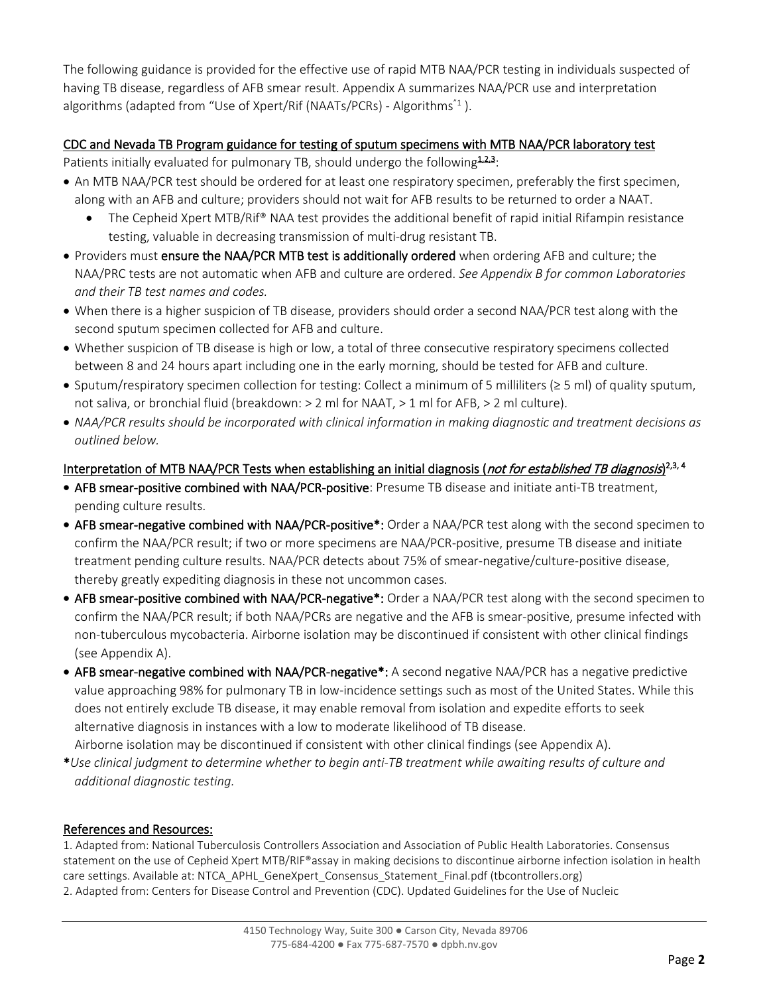The following guidance is provided for the effective use of rapid MTB NAA/PCR testing in individuals suspected of having TB disease, regardless of AFB smear result. Appendix A summarizes NAA/PCR use and interpretation algorithms (adapted from "Use of Xpert/Rif (NAATs/PCRs) - Algorithms ${}^{7}$ ).

### CDC and Nevada TB Program guidance for testing of sputum specimens with MTB NAA/PCR laboratory test

- Patients initially evaluated for pulmonary TB, should undergo the following $123$ :
- An MTB NAA/PCR test should be ordered for at least one respiratory specimen, preferably the first specimen, along with an AFB and culture; providers should not wait for AFB results to be returned to order a NAAT.
	- The Cepheid Xpert MTB/Rif® NAA test provides the additional benefit of rapid initial Rifampin resistance testing, valuable in decreasing transmission of multi-drug resistant TB.
- Providers must ensure the NAA/PCR MTB test is additionally ordered when ordering AFB and culture; the NAA/PRC tests are not automatic when AFB and culture are ordered. *See Appendix B for common Laboratories and their TB test names and codes.*
- When there is a higher suspicion of TB disease, providers should order a second NAA/PCR test along with the second sputum specimen collected for AFB and culture.
- Whether suspicion of TB disease is high or low, a total of three consecutive respiratory specimens collected between 8 and 24 hours apart including one in the early morning, should be tested for AFB and culture.
- Sputum/respiratory specimen collection for testing: Collect a minimum of 5 milliliters (≥ 5 ml) of quality sputum, not saliva, or bronchial fluid (breakdown: > 2 ml for NAAT, > 1 ml for AFB, > 2 ml culture).
- *NAA/PCR results should be incorporated with clinical information in making diagnostic and treatment decisions as outlined below.*

### Interpretation of MTB NAA/PCR Tests when establishing an initial diagnosis (*not for established TB diagnosis*)<sup>2,3, 4</sup>

- AFB smear-positive combined with NAA/PCR-positive: Presume TB disease and initiate anti-TB treatment, pending culture results.
- AFB smear-negative combined with NAA/PCR-positive\*: Order a NAA/PCR test along with the second specimen to confirm the NAA/PCR result; if two or more specimens are NAA/PCR-positive, presume TB disease and initiate treatment pending culture results. NAA/PCR detects about 75% of smear-negative/culture-positive disease, thereby greatly expediting diagnosis in these not uncommon cases.
- AFB smear-positive combined with NAA/PCR-negative\*: Order a NAA/PCR test along with the second specimen to confirm the NAA/PCR result; if both NAA/PCRs are negative and the AFB is smear-positive, presume infected with non-tuberculous mycobacteria. Airborne isolation may be discontinued if consistent with other clinical findings (see Appendix A).
- AFB smear-negative combined with NAA/PCR-negative\*: A second negative NAA/PCR has a negative predictive value approaching 98% for pulmonary TB in low-incidence settings such as most of the United States. While this does not entirely exclude TB disease, it may enable removal from isolation and expedite efforts to seek alternative diagnosis in instances with a low to moderate likelihood of TB disease. Airborne isolation may be discontinued if consistent with other clinical findings (see Appendix A).
- \**Use clinical judgment to determine whether to begin anti-TB treatment while awaiting results of culture and additional diagnostic testing.*

### References and Resources:

1. Adapted from: National Tuberculosis Controllers Association and Association of Public Health Laboratories. Consensus statement on the use of Cepheid Xpert MTB/RIF®assay in making decisions to discontinue airborne infection isolation in health care settings. Available at[: NTCA\\_APHL\\_GeneXpert\\_Consensus\\_Statement\\_Final.pdf \(tbcontrollers.org\)](https://www.tbcontrollers.org/docs/resources/NTCA_APHL_GeneXpert_Consensus_Statement_Final.pdf) 2. Adapted from: Centers for Disease Control and Prevention (CDC). Updated Guidelines for the Use of Nucleic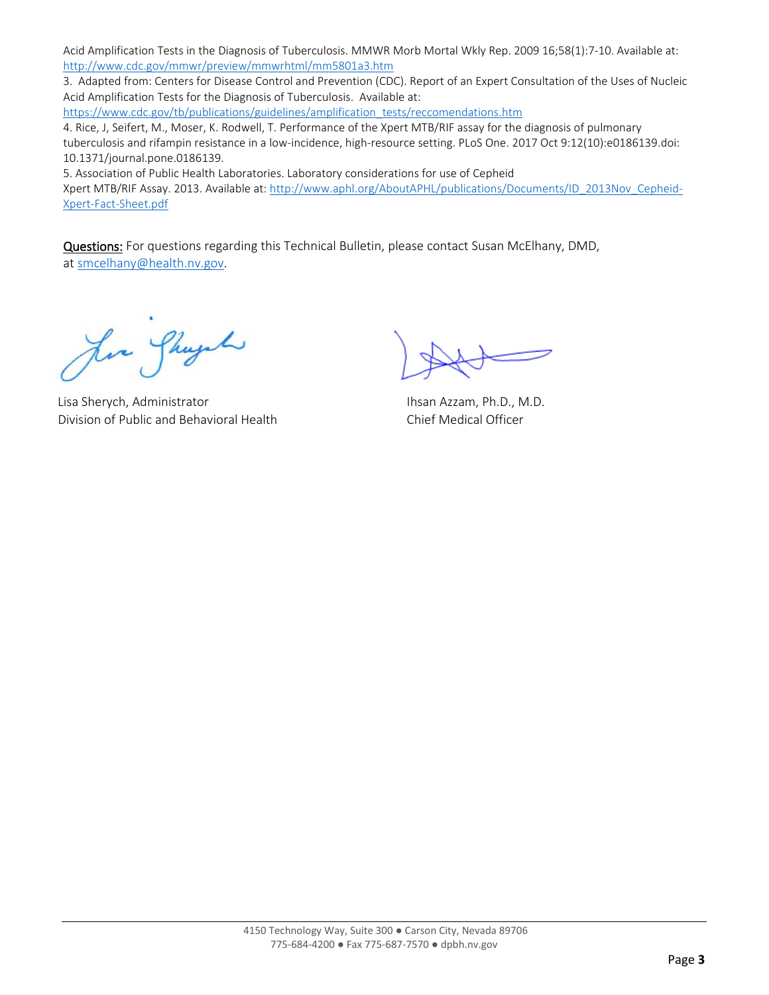Acid Amplification Tests in the Diagnosis of Tuberculosis. MMWR Morb Mortal Wkly Rep. 2009 16;58(1):7-10. Available at: <http://www.cdc.gov/mmwr/preview/mmwrhtml/mm5801a3.htm>

3. Adapted from: Centers for Disease Control and Prevention (CDC). Report of an Expert Consultation of the Uses of Nucleic Acid Amplification Tests for the Diagnosis of Tuberculosis. Available at:

[https://www.cdc.gov/tb/publications/guidelines/amplification\\_tests/reccomendations.htm](https://www.cdc.gov/tb/publications/guidelines/amplification_tests/reccomendations.htm) 4. Rice, J, Seifert, M., Moser, K. Rodwell, T. Performance of the Xpert MTB/RIF assay for the diagnosis of pulmonary tuberculosis and rifampin resistance in a low-incidence, high-resource setting. PLoS One. 2017 Oct 9:12(10):e0186139.doi: 10.1371/journal.pone.0186139.

5. Association of Public Health Laboratories. Laboratory considerations for use of Cepheid

Xpert MTB/RIF Assay. 2013. Available at: [http://www.aphl.org/AboutAPHL/publications/Documents/ID\\_2013Nov\\_Cepheid-](http://www.aphl.org/AboutAPHL/publications/Documents/ID_2013Nov_Cepheid-Xpert-Fact-Sheet.pdf)[Xpert-Fact-Sheet.pdf](http://www.aphl.org/AboutAPHL/publications/Documents/ID_2013Nov_Cepheid-Xpert-Fact-Sheet.pdf)

Questions: For questions regarding this Technical Bulletin, please contact Susan McElhany, DMD, at [smcelhany@health.nv.gov.](mailto:smcelhany@health.nv.gov)

Jere Sheyah

 Lisa Sherych, Administrator Ihsan Azzam, Ph.D., M.D. Division of Public and Behavioral Health Chief Medical Officer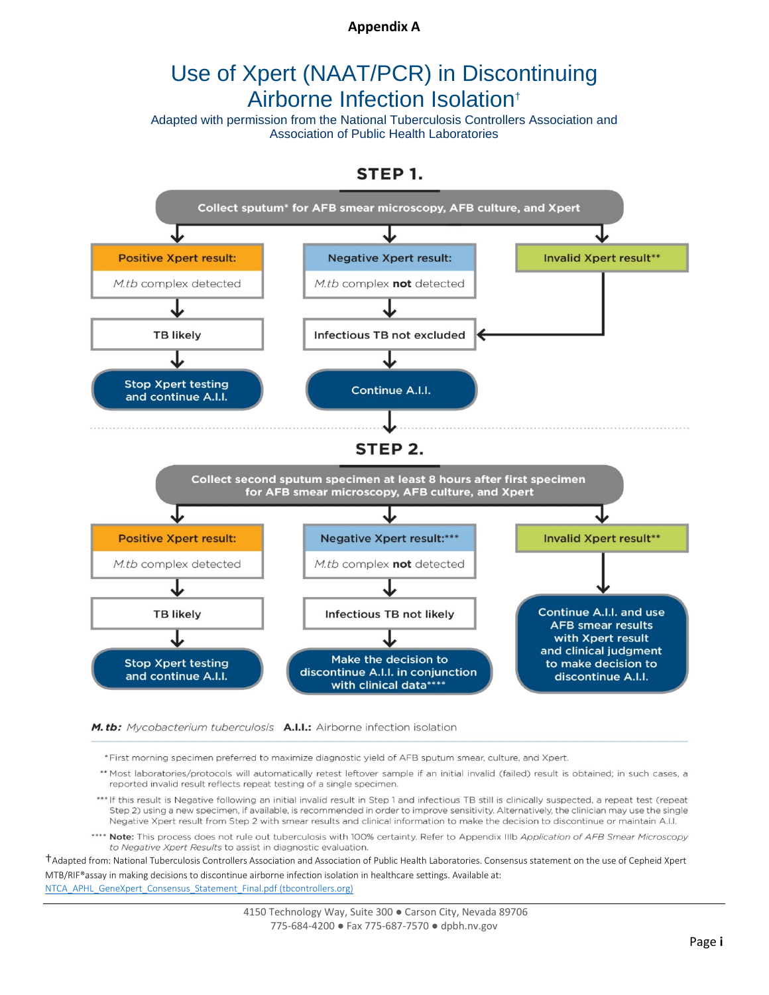#### **Appendix A**

### Use of Xpert (NAAT/PCR) in Discontinuing Airborne Infection Isolation†

Adapted with permission from the National Tuberculosis Controllers Association and Association of Public Health Laboratories





M.tb: Mycobacterium tuberculosis A.I.I.: Airborne infection isolation

\*First morning specimen preferred to maximize diagnostic yield of AFB sputum smear, culture, and Xpert.

- \*\* Most laboratories/protocols will automatically retest leftover sample if an initial invalid (failed) result is obtained; in such cases, a reported invalid result reflects repeat testing of a single specimen.
- \*\*\* If this result is Negative following an initial invalid result in Step 1 and infectious TB still is clinically suspected, a repeat test (repeat Step 2) using a new specimen, if available, is recommended in order to improve sensitivity. Alternatively, the clinician may use the single Negative Xpert result from Step 2 with smear results and clinical information to make the decision to discontinue or maintain A.I.I.
- \*\*\*\* Note: This process does not rule out tuberculosis with 100% certainty. Refer to Appendix IIIb Application of AFB Smear Microscopy to Negative Xpert Results to assist in diagnostic evaluation.

†Adapted from: National Tuberculosis Controllers Association and Association of Public Health Laboratories. Consensus statement on the use of Cepheid Xpert MTB/RIF®assay in making decisions to discontinue airborne infection isolation in healthcare settings. Available at: [NTCA\\_APHL\\_GeneXpert\\_Consensus\\_Statement\\_Final.pdf \(tbcontrollers.org\)](https://www.tbcontrollers.org/docs/resources/NTCA_APHL_GeneXpert_Consensus_Statement_Final.pdf)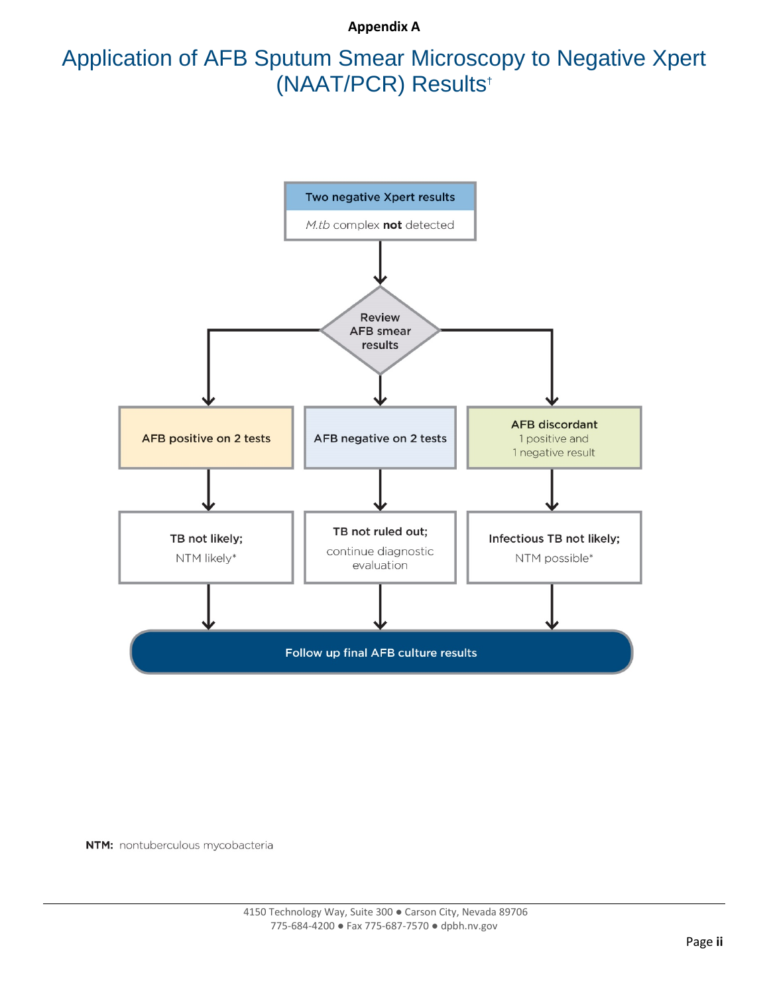**Appendix A**

## Application of AFB Sputum Smear Microscopy to Negative Xpert (NAAT/PCR) Results†



NTM: nontuberculous mycobacteria